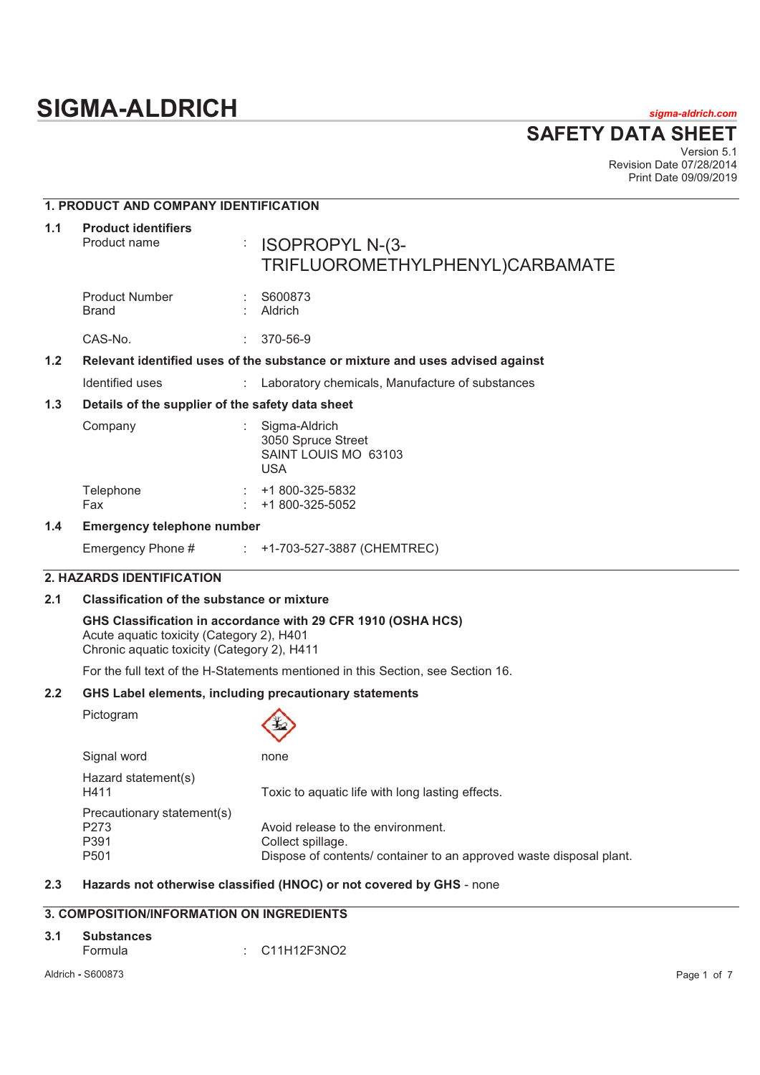# **SIGMA-ALDRICH** *sigma-aldrich.com*

**SAFETY DATA SHEET**

Version 5.1 Revision Date 07/28/2014 Print Date 09/09/2019

# **1. PRODUCT AND COMPANY IDENTIFICATION**

| 1.1 | <b>Product identifiers</b><br>Product name | ÷                                                | <b>ISOPROPYL N-(3-</b><br>TRIFLUOROMETHYLPHENYL)CARBAMATE                     |  |
|-----|--------------------------------------------|--------------------------------------------------|-------------------------------------------------------------------------------|--|
|     | <b>Product Number</b><br><b>Brand</b>      |                                                  | S600873<br>Aldrich                                                            |  |
|     | CAS-No.                                    |                                                  | 370-56-9                                                                      |  |
| 1.2 |                                            |                                                  | Relevant identified uses of the substance or mixture and uses advised against |  |
|     | Identified uses                            |                                                  | : Laboratory chemicals, Manufacture of substances                             |  |
| 1.3 |                                            | Details of the supplier of the safety data sheet |                                                                               |  |
|     | Company                                    |                                                  | Sigma-Aldrich<br>3050 Spruce Street<br>SAINT LOUIS MO 63103<br><b>USA</b>     |  |
|     | Telephone<br>Fax                           |                                                  | +1 800-325-5832<br>+1 800-325-5052                                            |  |
| 1.4 | <b>Emergency telephone number</b>          |                                                  |                                                                               |  |
|     | Emergency Phone #                          |                                                  | $\div$ +1-703-527-3887 (CHEMTREC)                                             |  |
|     | 2. HAZARDS IDENTIFICATION                  |                                                  |                                                                               |  |

# **2.1 Classification of the substance or mixture**

**GHS Classification in accordance with 29 CFR 1910 (OSHA HCS)**  Acute aquatic toxicity (Category 2), H401 Chronic aquatic toxicity (Category 2), H411

For the full text of the H-Statements mentioned in this Section, see Section 16.

#### **2.2 GHS Label elements, including precautionary statements**

Pictogram



| Signal word                                        | none                                                                                                                          |
|----------------------------------------------------|-------------------------------------------------------------------------------------------------------------------------------|
| Hazard statement(s)<br>H411                        | Toxic to aquatic life with long lasting effects.                                                                              |
| Precautionary statement(s)<br>P273<br>P391<br>P501 | Avoid release to the environment.<br>Collect spillage.<br>Dispose of contents/ container to an approved waste disposal plant. |

#### **2.3 Hazards not otherwise classified (HNOC) or not covered by GHS** - none

# **3. COMPOSITION/INFORMATION ON INGREDIENTS**

| 3.1 | Substances |  |                          |  |  |  |
|-----|------------|--|--------------------------|--|--|--|
|     | Formula    |  | $\therefore$ C11H12F3NO2 |  |  |  |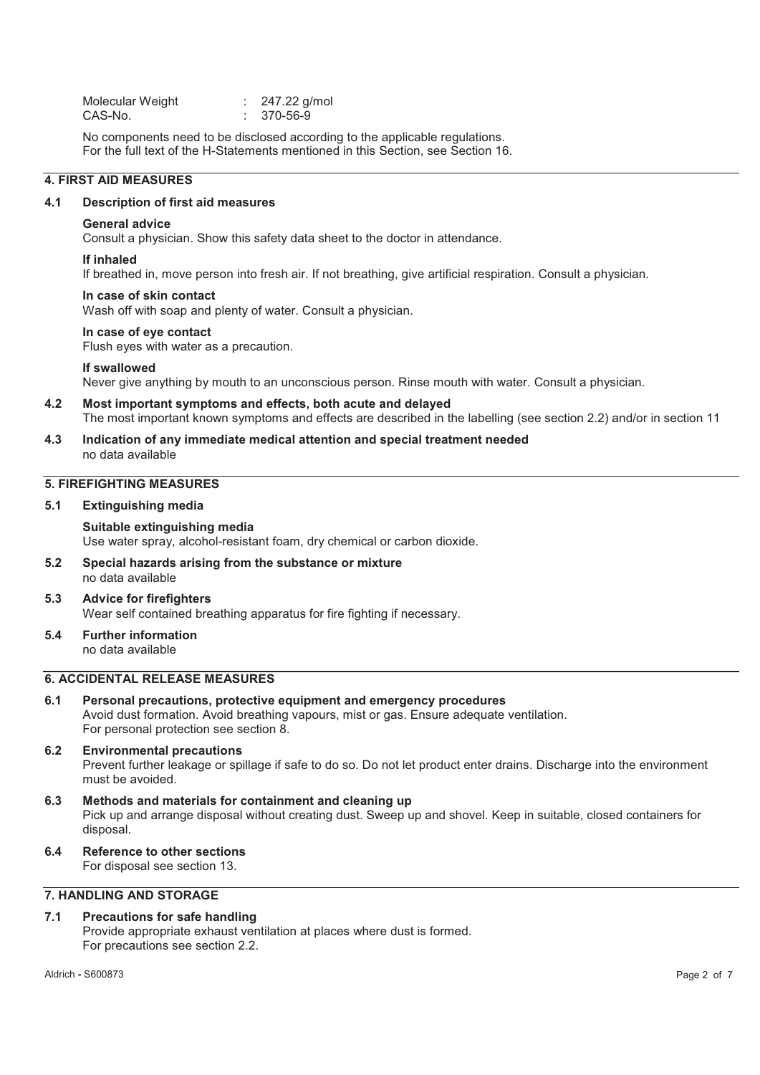| Molecular Weight | 247.22 g/mol |
|------------------|--------------|
| CAS-No.          |              |

No components need to be disclosed according to the applicable regulations. For the full text of the H-Statements mentioned in this Section, see Section 16.

#### **4. FIRST AID MEASURES**

#### **4.1 Description of first aid measures**

#### **General advice**

Consult a physician. Show this safety data sheet to the doctor in attendance.

#### **If inhaled**

If breathed in, move person into fresh air. If not breathing, give artificial respiration. Consult a physician.

#### **In case of skin contact**

Wash off with soap and plenty of water. Consult a physician.

#### **In case of eye contact**

Flush eyes with water as a precaution.

#### **If swallowed**

Never give anything by mouth to an unconscious person. Rinse mouth with water. Consult a physician.

- **4.2 Most important symptoms and effects, both acute and delayed**  The most important known symptoms and effects are described in the labelling (see section 2.2) and/or in section 11
- **4.3 Indication of any immediate medical attention and special treatment needed**  no data available

# **5. FIREFIGHTING MEASURES**

**5.1 Extinguishing media** 

**Suitable extinguishing media**  Use water spray, alcohol-resistant foam, dry chemical or carbon dioxide.

**5.2 Special hazards arising from the substance or mixture**  no data available

#### **5.3 Advice for firefighters**  Wear self contained breathing apparatus for fire fighting if necessary.

**5.4 Further information**  no data available

#### **6. ACCIDENTAL RELEASE MEASURES**

#### **6.1 Personal precautions, protective equipment and emergency procedures**  Avoid dust formation. Avoid breathing vapours, mist or gas. Ensure adequate ventilation. For personal protection see section 8.

#### **6.2 Environmental precautions**

Prevent further leakage or spillage if safe to do so. Do not let product enter drains. Discharge into the environment must be avoided.

#### **6.3 Methods and materials for containment and cleaning up**  Pick up and arrange disposal without creating dust. Sweep up and shovel. Keep in suitable, closed containers for disposal.

**6.4 Reference to other sections** 

For disposal see section 13.

# **7. HANDLING AND STORAGE**

### **7.1 Precautions for safe handling**

Provide appropriate exhaust ventilation at places where dust is formed. For precautions see section 2.2.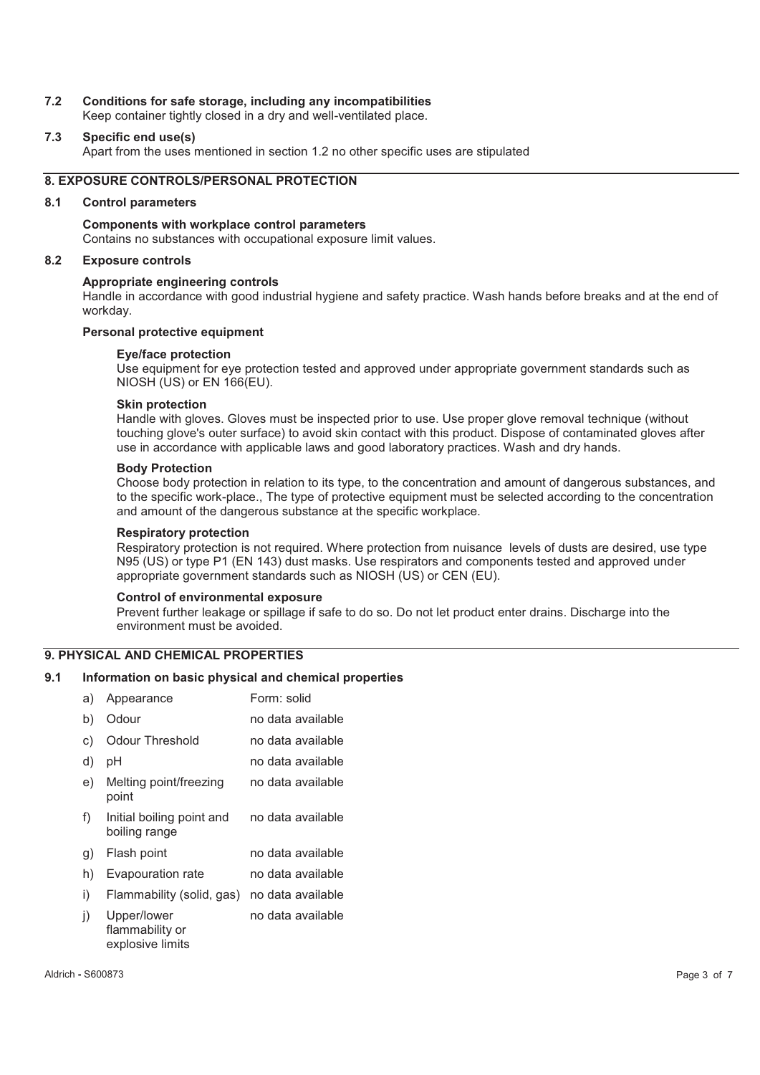#### **7.2 Conditions for safe storage, including any incompatibilities**

Keep container tightly closed in a dry and well-ventilated place.

#### **7.3 Specific end use(s)**

Apart from the uses mentioned in section 1.2 no other specific uses are stipulated

#### **8. EXPOSURE CONTROLS/PERSONAL PROTECTION**

#### **8.1 Control parameters**

#### **Components with workplace control parameters**

Contains no substances with occupational exposure limit values.

#### **8.2 Exposure controls**

#### **Appropriate engineering controls**

Handle in accordance with good industrial hygiene and safety practice. Wash hands before breaks and at the end of workday.

#### **Personal protective equipment**

#### **Eye/face protection**

Use equipment for eye protection tested and approved under appropriate government standards such as NIOSH (US) or EN 166(EU).

#### **Skin protection**

Handle with gloves. Gloves must be inspected prior to use. Use proper glove removal technique (without touching glove's outer surface) to avoid skin contact with this product. Dispose of contaminated gloves after use in accordance with applicable laws and good laboratory practices. Wash and dry hands.

#### **Body Protection**

Choose body protection in relation to its type, to the concentration and amount of dangerous substances, and to the specific work-place., The type of protective equipment must be selected according to the concentration and amount of the dangerous substance at the specific workplace.

#### **Respiratory protection**

Respiratory protection is not required. Where protection from nuisance levels of dusts are desired, use type N95 (US) or type P1 (EN 143) dust masks. Use respirators and components tested and approved under appropriate government standards such as NIOSH (US) or CEN (EU).

#### **Control of environmental exposure**

Prevent further leakage or spillage if safe to do so. Do not let product enter drains. Discharge into the environment must be avoided.

#### **9. PHYSICAL AND CHEMICAL PROPERTIES**

#### **9.1 Information on basic physical and chemical properties**

| a) | Appearance                                         | Form: solid       |
|----|----------------------------------------------------|-------------------|
| b) | Odour                                              | no data available |
| C) | Odour Threshold                                    | no data available |
| d) | рH                                                 | no data available |
| e) | Melting point/freezing<br>point                    | no data available |
| f) | Initial boiling point and<br>boiling range         | no data available |
| g) | Flash point                                        | no data available |
| h) | <b>Evapouration rate</b>                           | no data available |
| i) | Flammability (solid, gas)                          | no data available |
| j) | Upper/lower<br>flammability or<br>explosive limits | no data available |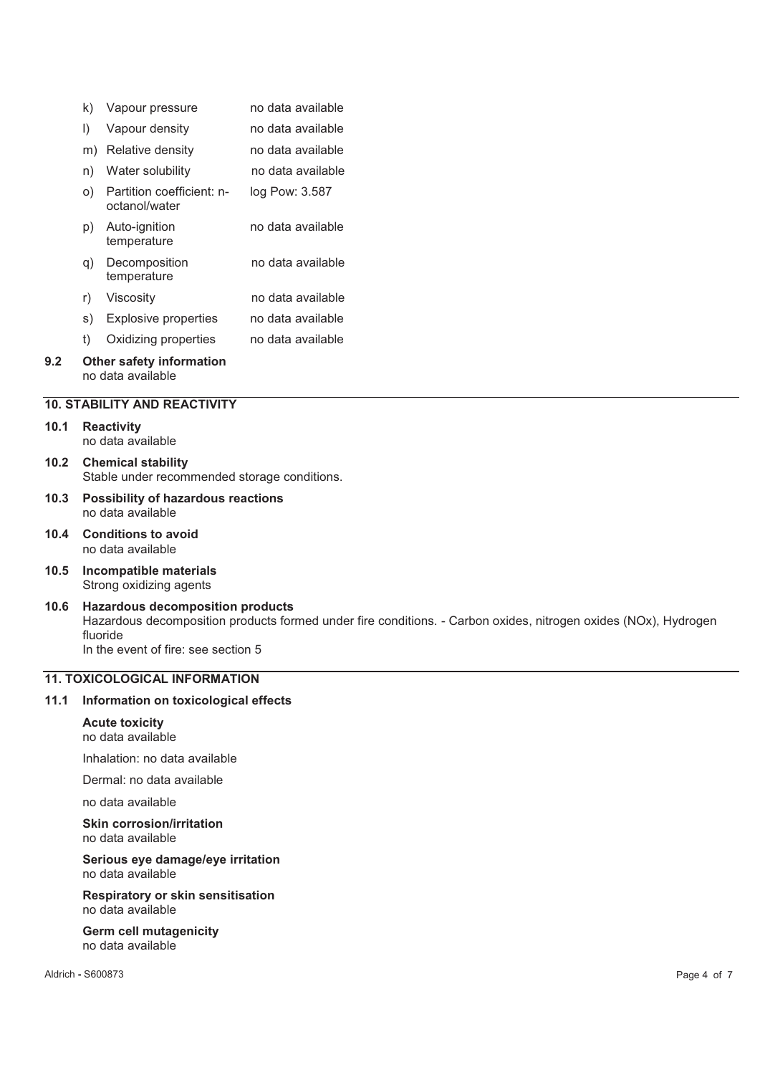|     | k) | Vapour pressure                                      | no data available |
|-----|----|------------------------------------------------------|-------------------|
|     | I) | Vapour density                                       | no data available |
|     | m) | Relative density                                     | no data available |
|     | n) | Water solubility                                     | no data available |
|     | O) | Partition coefficient: n-<br>octanol/water           | log Pow: 3.587    |
|     | p) | Auto-ignition<br>temperature                         | no data available |
|     | q) | Decomposition<br>temperature                         | no data available |
|     | r) | Viscosity                                            | no data available |
|     | S) | <b>Explosive properties</b>                          | no data available |
|     | t) | Oxidizing properties                                 | no data available |
| 9.2 |    | <b>Other safety information</b><br>no data available |                   |

#### **10. STABILITY AND REACTIVITY**

#### **10.1 Reactivity**  no data available

**10.2 Chemical stability**  Stable under recommended storage conditions.

- **10.3 Possibility of hazardous reactions**  no data available
- **10.4 Conditions to avoid**  no data available
- **10.5 Incompatible materials**  Strong oxidizing agents
- **10.6 Hazardous decomposition products**  Hazardous decomposition products formed under fire conditions. - Carbon oxides, nitrogen oxides (NOx), Hydrogen fluoride In the event of fire: see section 5

### **11. TOXICOLOGICAL INFORMATION**

#### **11.1 Information on toxicological effects**

# **Acute toxicity**

no data available

Inhalation: no data available

Dermal: no data available

no data available

#### **Skin corrosion/irritation**  no data available

**Serious eye damage/eye irritation**  no data available

**Respiratory or skin sensitisation**  no data available

**Germ cell mutagenicity**  no data available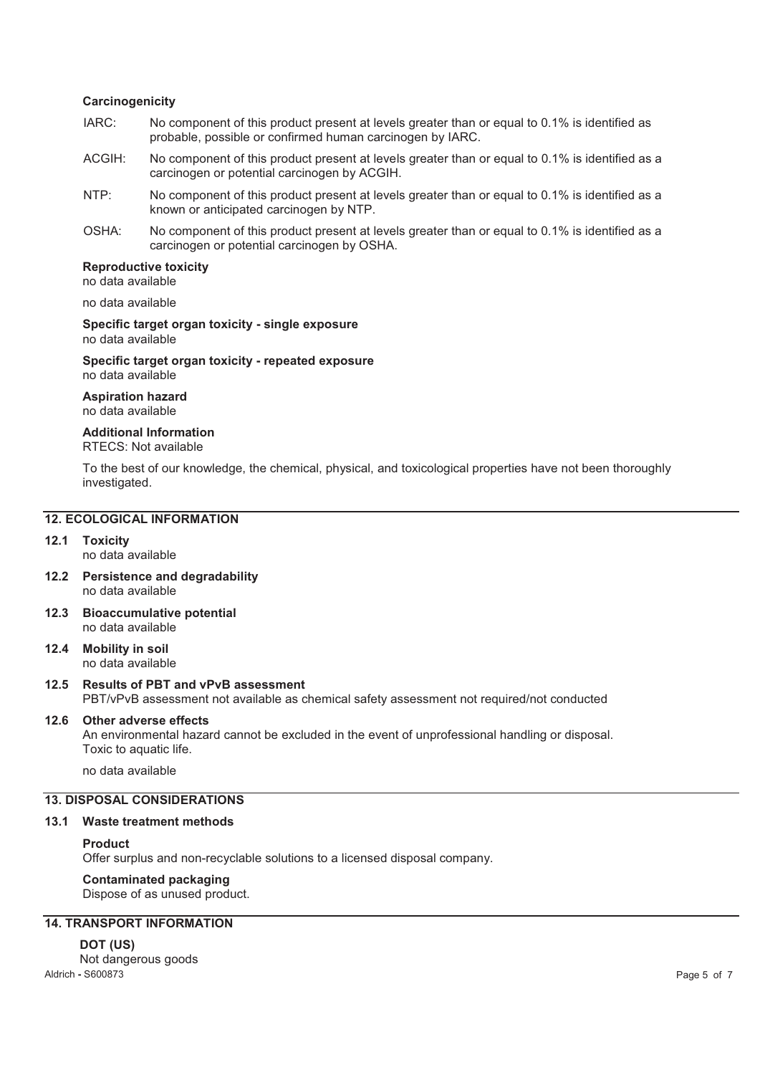#### **Carcinogenicity**

- IARC: No component of this product present at levels greater than or equal to 0.1% is identified as probable, possible or confirmed human carcinogen by IARC.
- ACGIH: No component of this product present at levels greater than or equal to 0.1% is identified as a carcinogen or potential carcinogen by ACGIH.
- NTP: No component of this product present at levels greater than or equal to 0.1% is identified as a known or anticipated carcinogen by NTP.
- OSHA: No component of this product present at levels greater than or equal to 0.1% is identified as a carcinogen or potential carcinogen by OSHA.

#### **Reproductive toxicity**  no data available

no data available

**Specific target organ toxicity - single exposure**  no data available

**Specific target organ toxicity - repeated exposure**  no data available

**Aspiration hazard**  no data available

# **Additional Information**

RTECS: Not available

To the best of our knowledge, the chemical, physical, and toxicological properties have not been thoroughly investigated.

#### **12. ECOLOGICAL INFORMATION**

#### **12.1 Toxicity**

- no data available
- **12.2 Persistence and degradability**  no data available
- **12.3 Bioaccumulative potential**  no data available
- **12.4 Mobility in soil**  no data available

#### **12.5 Results of PBT and vPvB assessment**  PBT/vPvB assessment not available as chemical safety assessment not required/not conducted

#### **12.6 Other adverse effects**

An environmental hazard cannot be excluded in the event of unprofessional handling or disposal. Toxic to aquatic life.

no data available

#### **13. DISPOSAL CONSIDERATIONS**

#### **13.1 Waste treatment methods**

#### **Product**

Offer surplus and non-recyclable solutions to a licensed disposal company.

# **Contaminated packaging**

Dispose of as unused product.

### **14. TRANSPORT INFORMATION**

#### **DOT (US)**

Aldrich **-** S600873 Page 5 of 7 Not dangerous goods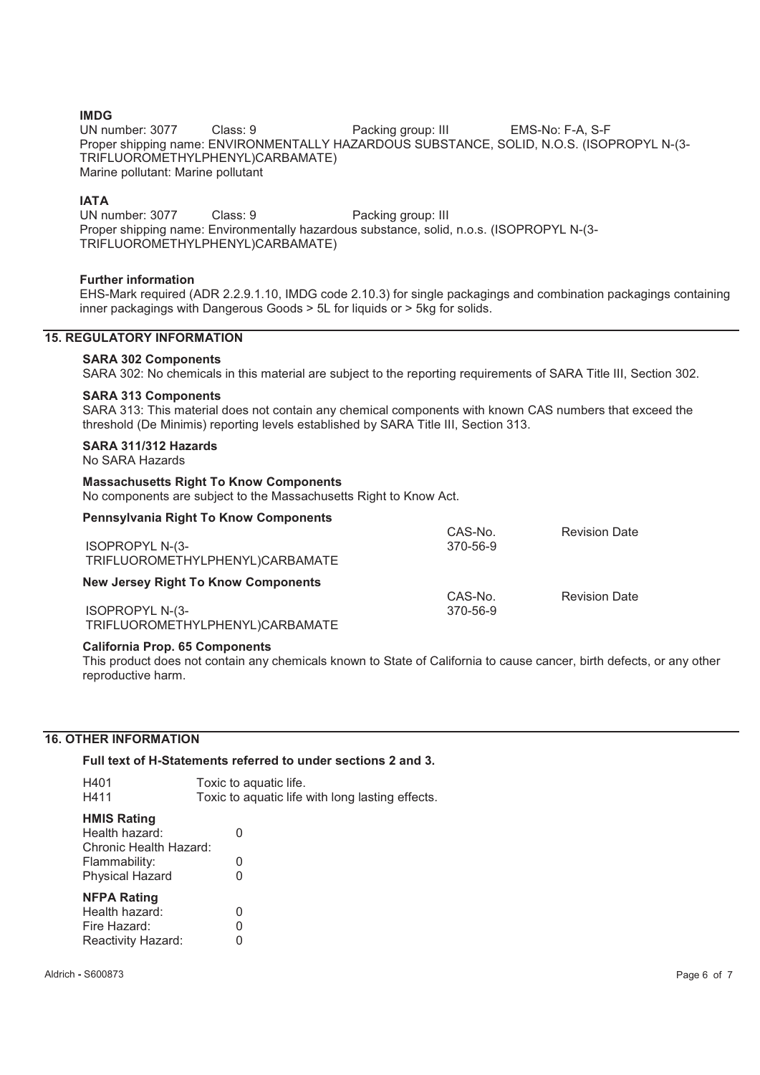**IMDG**<br>UN number: 3077 Class: 9 **Packing group: III** EMS-No: F-A, S-F Proper shipping name: ENVIRONMENTALLY HAZARDOUS SUBSTANCE, SOLID, N.O.S. (ISOPROPYL N-(3- TRIFLUOROMETHYLPHENYL)CARBAMATE) Marine pollutant: Marine pollutant

**IATA**<br>UN number: 3077 Class: 9 Packing group: III Proper shipping name: Environmentally hazardous substance, solid, n.o.s. (ISOPROPYL N-(3- TRIFLUOROMETHYLPHENYL)CARBAMATE)

#### **Further information**

EHS-Mark required (ADR 2.2.9.1.10, IMDG code 2.10.3) for single packagings and combination packagings containing inner packagings with Dangerous Goods > 5L for liquids or > 5kg for solids.

#### **15. REGULATORY INFORMATION**

#### **SARA 302 Components**

SARA 302: No chemicals in this material are subject to the reporting requirements of SARA Title III, Section 302.

#### **SARA 313 Components**

SARA 313: This material does not contain any chemical components with known CAS numbers that exceed the threshold (De Minimis) reporting levels established by SARA Title III, Section 313.

#### **SARA 311/312 Hazards**

#### No SARA Hazards

#### **Massachusetts Right To Know Components**

No components are subject to the Massachusetts Right to Know Act.

| <b>Pennsylvania Right To Know Components</b> |          |                      |
|----------------------------------------------|----------|----------------------|
|                                              | CAS-No.  | <b>Revision Date</b> |
| <b>ISOPROPYL N-(3-</b>                       | 370-56-9 |                      |
| TRIFLUOROMETHYLPHENYL)CARBAMATE              |          |                      |
| <b>New Jersey Right To Know Components</b>   |          |                      |
|                                              | CAS-No.  | <b>Revision Date</b> |
| <b>ISOPROPYL N-(3-</b>                       | 370-56-9 |                      |
| TRIFLUOROMETHYLPHENYL)CARBAMATE              |          |                      |

#### **California Prop. 65 Components**

This product does not contain any chemicals known to State of California to cause cancer, birth defects, or any other reproductive harm.

#### **16. OTHER INFORMATION**

**Full text of H-Statements referred to under sections 2 and 3.** 

| H401<br>H411                                                                                              | Toxic to aquatic life.<br>Toxic to aquatic life with long lasting effects. |
|-----------------------------------------------------------------------------------------------------------|----------------------------------------------------------------------------|
| <b>HMIS Rating</b><br>Health hazard:<br>Chronic Health Hazard:<br>Flammability:<br><b>Physical Hazard</b> | O<br>O<br>$\mathbf{I}$                                                     |
| <b>NFPA Rating</b><br>Health hazard:<br>Fire Hazard:<br>Reactivity Hazard:                                | 0<br>0                                                                     |